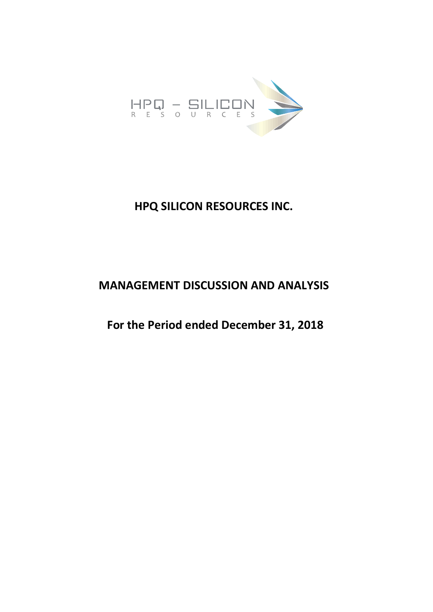

# HPQ SILICON RESOURCES INC.

# MANAGEMENT DISCUSSION AND ANALYSIS

For the Period ended December 31, 2018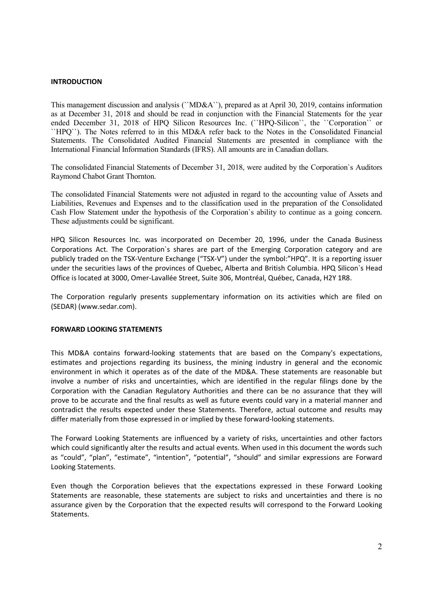### **INTRODUCTION**

This management discussion and analysis (``MD&A``), prepared as at April 30, 2019, contains information as at December 31, 2018 and should be read in conjunction with the Financial Statements for the year ended December 31, 2018 of HPQ Silicon Resources Inc. (``HPQ-Silicon``, the ``Corporation`` or ``HPQ``). The Notes referred to in this MD&A refer back to the Notes in the Consolidated Financial Statements. The Consolidated Audited Financial Statements are presented in compliance with the International Financial Information Standards (IFRS). All amounts are in Canadian dollars.

The consolidated Financial Statements of December 31, 2018, were audited by the Corporation`s Auditors Raymond Chabot Grant Thornton.

The consolidated Financial Statements were not adjusted in regard to the accounting value of Assets and Liabilities, Revenues and Expenses and to the classification used in the preparation of the Consolidated Cash Flow Statement under the hypothesis of the Corporation`s ability to continue as a going concern. These adjustments could be significant.

HPQ Silicon Resources Inc. was incorporated on December 20, 1996, under the Canada Business Corporations Act. The Corporation`s shares are part of the Emerging Corporation category and are publicly traded on the TSX-Venture Exchange ("TSX-V") under the symbol:"HPQ". It is a reporting issuer under the securities laws of the provinces of Quebec, Alberta and British Columbia. HPQ Silicon`s Head Office is located at 3000, Omer-Lavallée Street, Suite 306, Montréal, Québec, Canada, H2Y 1R8.

The Corporation regularly presents supplementary information on its activities which are filed on (SEDAR) (www.sedar.com).

## FORWARD LOOKING STATEMENTS

This MD&A contains forward-looking statements that are based on the Company's expectations, estimates and projections regarding its business, the mining industry in general and the economic environment in which it operates as of the date of the MD&A. These statements are reasonable but involve a number of risks and uncertainties, which are identified in the regular filings done by the Corporation with the Canadian Regulatory Authorities and there can be no assurance that they will prove to be accurate and the final results as well as future events could vary in a material manner and contradict the results expected under these Statements. Therefore, actual outcome and results may differ materially from those expressed in or implied by these forward-looking statements.

The Forward Looking Statements are influenced by a variety of risks, uncertainties and other factors which could significantly alter the results and actual events. When used in this document the words such as "could", "plan", "estimate", "intention", "potential", "should" and similar expressions are Forward Looking Statements.

Even though the Corporation believes that the expectations expressed in these Forward Looking Statements are reasonable, these statements are subject to risks and uncertainties and there is no assurance given by the Corporation that the expected results will correspond to the Forward Looking Statements.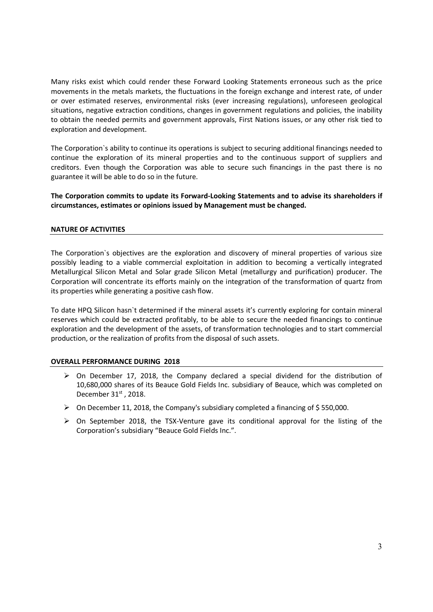Many risks exist which could render these Forward Looking Statements erroneous such as the price movements in the metals markets, the fluctuations in the foreign exchange and interest rate, of under or over estimated reserves, environmental risks (ever increasing regulations), unforeseen geological situations, negative extraction conditions, changes in government regulations and policies, the inability to obtain the needed permits and government approvals, First Nations issues, or any other risk tied to exploration and development.

The Corporation`s ability to continue its operations is subject to securing additional financings needed to continue the exploration of its mineral properties and to the continuous support of suppliers and creditors. Even though the Corporation was able to secure such financings in the past there is no guarantee it will be able to do so in the future.

The Corporation commits to update its Forward-Looking Statements and to advise its shareholders if circumstances, estimates or opinions issued by Management must be changed.

# NATURE OF ACTIVITIES

The Corporation`s objectives are the exploration and discovery of mineral properties of various size possibly leading to a viable commercial exploitation in addition to becoming a vertically integrated Metallurgical Silicon Metal and Solar grade Silicon Metal (metallurgy and purification) producer. The Corporation will concentrate its efforts mainly on the integration of the transformation of quartz from its properties while generating a positive cash flow.

To date HPQ Silicon hasn`t determined if the mineral assets it's currently exploring for contain mineral reserves which could be extracted profitably, to be able to secure the needed financings to continue exploration and the development of the assets, of transformation technologies and to start commercial production, or the realization of profits from the disposal of such assets.

# OVERALL PERFORMANCE DURING 2018

- $\triangleright$  On December 17, 2018, the Company declared a special dividend for the distribution of 10,680,000 shares of its Beauce Gold Fields Inc. subsidiary of Beauce, which was completed on December 31st, 2018.
- $\triangleright$  On December 11, 2018, the Company's subsidiary completed a financing of \$550,000.
- $\triangleright$  On September 2018, the TSX-Venture gave its conditional approval for the listing of the Corporation's subsidiary "Beauce Gold Fields Inc.".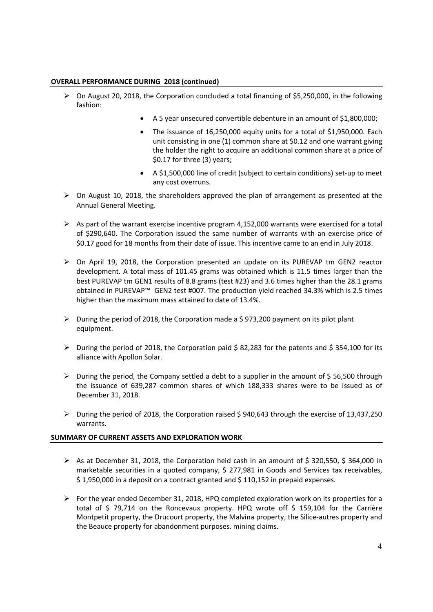## OVERALL PERFORMANCE DURING 2018 (continued)

- $\triangleright$  On August 20, 2018, the Corporation concluded a total financing of \$5,250,000, in the following fashion:
	- A 5 year unsecured convertible debenture in an amount of \$1,800,000;
	- The issuance of 16,250,000 equity units for a total of \$1,950,000. Each unit consisting in one (1) common share at \$0.12 and one warrant giving the holder the right to acquire an additional common share at a price of \$0.17 for three (3) years;
	- A \$1,500,000 line of credit (subject to certain conditions) set-up to meet any cost overruns.
- $\triangleright$  On August 10, 2018, the shareholders approved the plan of arrangement as presented at the Annual General Meeting.
- $\triangleright$  As part of the warrant exercise incentive program 4,152,000 warrants were exercised for a total of \$290,640. The Corporation issued the same number of warrants with an exercise price of \$0.17 good for 18 months from their date of issue. This incentive came to an end in July 2018.
- $\triangleright$  On April 19, 2018, the Corporation presented an update on its PUREVAP tm GEN2 reactor development. A total mass of 101.45 grams was obtained which is 11.5 times larger than the best PUREVAP tm GEN1 results of 8.8 grams (test #23) and 3.6 times higher than the 28.1 grams obtained in PUREVAP™ GEN2 test #007. The production yield reached 34.3% which is 2.5 times higher than the maximum mass attained to date of 13.4%.
- $\triangleright$  During the period of 2018, the Corporation made a \$973,200 payment on its pilot plant equipment.
- $\triangleright$  During the period of 2018, the Corporation paid \$ 82,283 for the patents and \$ 354,100 for its alliance with Apollon Solar.
- $\triangleright$  During the period, the Company settled a debt to a supplier in the amount of \$56,500 through the issuance of 639,287 common shares of which 188,333 shares were to be issued as of December 31, 2018.
- During the period of 2018, the Corporation raised \$ 940,643 through the exercise of 13,437,250 warrants.

# SUMMARY OF CURRENT ASSETS AND EXPLORATION WORK

- $\triangleright$  As at December 31, 2018, the Corporation held cash in an amount of \$ 320,550, \$ 364,000 in marketable securities in a quoted company, \$ 277,981 in Goods and Services tax receivables, \$ 1,950,000 in a deposit on a contract granted and \$ 110,152 in prepaid expenses.
- For the year ended December 31, 2018, HPQ completed exploration work on its properties for a total of \$ 79,714 on the Roncevaux property. HPQ wrote off \$ 159,104 for the Carrière Montpetit property, the Drucourt property, the Malvina property, the Silice-autres property and the Beauce property for abandonment purposes. mining claims.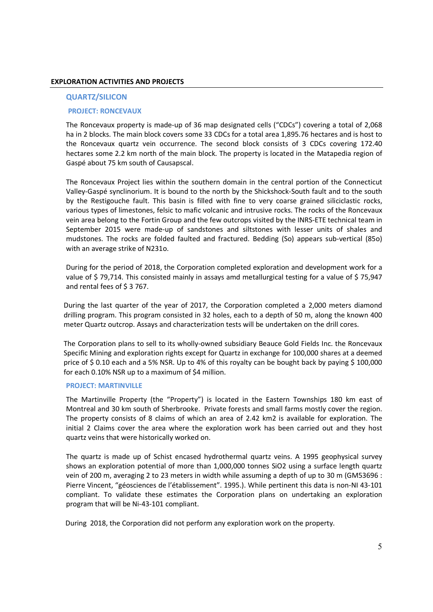#### EXPLORATION ACTIVITIES AND PROJECTS

## QUARTZ/SILICON

### PROJECT: RONCEVAUX

The Roncevaux property is made-up of 36 map designated cells ("CDCs") covering a total of 2,068 ha in 2 blocks. The main block covers some 33 CDCs for a total area 1,895.76 hectares and is host to the Roncevaux quartz vein occurrence. The second block consists of 3 CDCs covering 172.40 hectares some 2.2 km north of the main block. The property is located in the Matapedia region of Gaspé about 75 km south of Causapscal.

The Roncevaux Project lies within the southern domain in the central portion of the Connecticut Valley-Gaspé synclinorium. It is bound to the north by the Shickshock-South fault and to the south by the Restigouche fault. This basin is filled with fine to very coarse grained siliciclastic rocks, various types of limestones, felsic to mafic volcanic and intrusive rocks. The rocks of the Roncevaux vein area belong to the Fortin Group and the few outcrops visited by the INRS-ETE technical team in September 2015 were made-up of sandstones and siltstones with lesser units of shales and mudstones. The rocks are folded faulted and fractured. Bedding (So) appears sub-vertical (85o) with an average strike of N231o.

During for the period of 2018, the Corporation completed exploration and development work for a value of \$ 79,714. This consisted mainly in assays amd metallurgical testing for a value of \$ 75,947 and rental fees of \$3767.

During the last quarter of the year of 2017, the Corporation completed a 2,000 meters diamond drilling program. This program consisted in 32 holes, each to a depth of 50 m, along the known 400 meter Quartz outcrop. Assays and characterization tests will be undertaken on the drill cores.

The Corporation plans to sell to its wholly-owned subsidiary Beauce Gold Fields Inc. the Roncevaux Specific Mining and exploration rights except for Quartz in exchange for 100,000 shares at a deemed price of \$ 0.10 each and a 5% NSR. Up to 4% of this royalty can be bought back by paying \$ 100,000 for each 0.10% NSR up to a maximum of \$4 million.

### PROJECT: MARTINVILLE

The Martinville Property (the "Property") is located in the Eastern Townships 180 km east of Montreal and 30 km south of Sherbrooke. Private forests and small farms mostly cover the region. The property consists of 8 claims of which an area of 2.42 km2 is available for exploration. The initial 2 Claims cover the area where the exploration work has been carried out and they host quartz veins that were historically worked on.

The quartz is made up of Schist encased hydrothermal quartz veins. A 1995 geophysical survey shows an exploration potential of more than 1,000,000 tonnes SiO2 using a surface length quartz vein of 200 m, averaging 2 to 23 meters in width while assuming a depth of up to 30 m (GM53696 : Pierre Vincent, "géosciences de l'établissement". 1995.). While pertinent this data is non-NI 43-101 compliant. To validate these estimates the Corporation plans on undertaking an exploration program that will be Ni-43-101 compliant.

During 2018, the Corporation did not perform any exploration work on the property.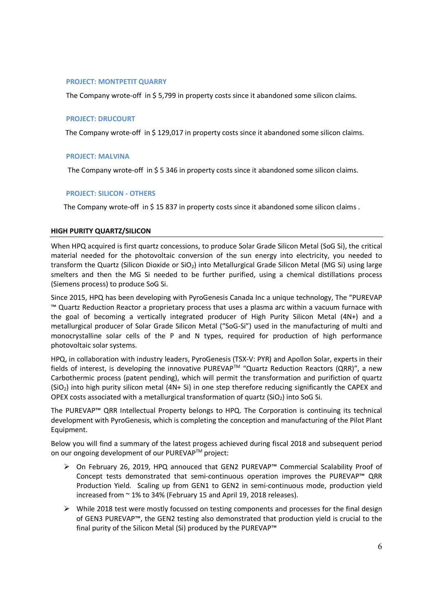## PROJECT: MONTPETIT QUARRY

The Company wrote-off in \$ 5,799 in property costs since it abandoned some silicon claims.

## PROJECT: DRUCOURT

The Company wrote-off in \$ 129,017 in property costs since it abandoned some silicon claims.

## PROJECT: MALVINA

The Company wrote-off in \$ 5 346 in property costs since it abandoned some silicon claims.

## PROJECT: SILICON - OTHERS

The Company wrote-off in \$15 837 in property costs since it abandoned some silicon claims.

## HIGH PURITY QUARTZ/SILICON

When HPQ acquired is first quartz concessions, to produce Solar Grade Silicon Metal (SoG Si), the critical material needed for the photovoltaic conversion of the sun energy into electricity, you needed to transform the Quartz (Silicon Dioxide or  $SiO<sub>2</sub>$ ) into Metallurgical Grade Silicon Metal (MG Si) using large smelters and then the MG Si needed to be further purified, using a chemical distillations process (Siemens process) to produce SoG Si.

Since 2015, HPQ has been developing with PyroGenesis Canada Inc a unique technology, The "PUREVAP ™ Quartz Reduction Reactor a proprietary process that uses a plasma arc within a vacuum furnace with the goal of becoming a vertically integrated producer of High Purity Silicon Metal (4N+) and a metallurgical producer of Solar Grade Silicon Metal ("SoG-Si") used in the manufacturing of multi and monocrystalline solar cells of the P and N types, required for production of high performance photovoltaic solar systems.

HPQ, in collaboration with industry leaders, PyroGenesis (TSX-V: PYR) and Apollon Solar, experts in their fields of interest, is developing the innovative PUREVAPTM "Quartz Reduction Reactors (QRR)", a new Carbothermic process (patent pending), which will permit the transformation and purifiction of quartz (SiO2) into high purity silicon metal (4N+ Si) in one step therefore reducing significantly the CAPEX and OPEX costs associated with a metallurgical transformation of quartz ( $SiO<sub>2</sub>$ ) into SoG Si.

The PUREVAP™ QRR Intellectual Property belongs to HPQ. The Corporation is continuing its technical development with PyroGenesis, which is completing the conception and manufacturing of the Pilot Plant Equipment.

Below you will find a summary of the latest progess achieved during fiscal 2018 and subsequent period on our ongoing development of our PUREVAP™ project:

- On February 26, 2019, HPQ annouced that GEN2 PUREVAP™ Commercial Scalability Proof of Concept tests demonstrated that semi-continuous operation improves the PUREVAP™ QRR Production Yield. Scaling up from GEN1 to GEN2 in semi-continuous mode, production yield increased from ~ 1% to 34% (February 15 and April 19, 2018 releases).
- $\triangleright$  While 2018 test were mostly focussed on testing components and processes for the final design of GEN3 PUREVAP™, the GEN2 testing also demonstrated that production yield is crucial to the final purity of the Silicon Metal (Si) produced by the PUREVAP™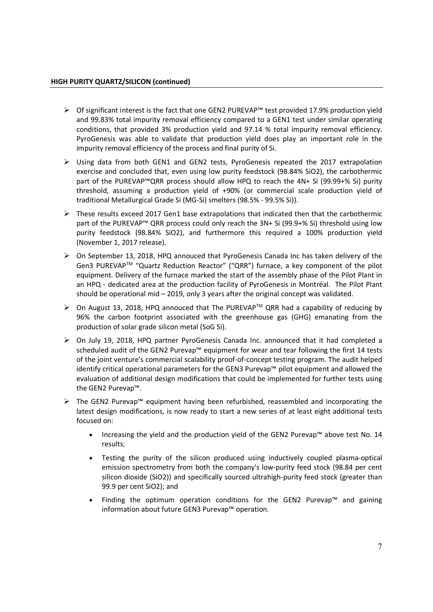- Of significant interest is the fact that one GEN2 PUREVAP™ test provided 17.9% production yield and 99.83% total impurity removal efficiency compared to a GEN1 test under similar operating conditions, that provided 3% production yield and 97.14 % total impurity removal efficiency. PyroGenesis was able to validate that production yield does play an important role in the impurity removal efficiency of the process and final purity of Si.
- $\triangleright$  Using data from both GEN1 and GEN2 tests, PyroGenesis repeated the 2017 extrapolation exercise and concluded that, even using low purity feedstock (98.84% SiO2), the carbothermic part of the PUREVAP™QRR process should allow HPQ to reach the 4N+ Si (99.99+% Si) purity threshold, assuming a production yield of +90% (or commercial scale production yield of traditional Metallurgical Grade Si (MG-Si) smelters (98.5% - 99.5% Si)).
- $\triangleright$  These results exceed 2017 Gen1 base extrapolations that indicated then that the carbothermic part of the PUREVAP™ QRR process could only reach the 3N+ Si (99.9+% Si) threshold using low purity feedstock (98.84% SiO2), and furthermore this required a 100% production yield (November 1, 2017 release).
- $\triangleright$  On September 13, 2018, HPQ annouced that PyroGenesis Canada Inc has taken delivery of the Gen3 PUREVAPTM "Quartz Reduction Reactor" ("QRR") furnace, a key component of the pilot equipment. Delivery of the furnace marked the start of the assembly phase of the Pilot Plant in an HPQ - dedicated area at the production facility of PyroGenesis in Montréal. The Pilot Plant should be operational mid – 2019, only 3 years after the original concept was validated.
- $\triangleright$  On August 13, 2018, HPQ annouced that The PUREVAP<sup>TM</sup> QRR had a capability of reducing by 96% the carbon footprint associated with the greenhouse gas (GHG) emanating from the production of solar grade silicon metal (SoG Si).
- $\triangleright$  On July 19, 2018, HPQ partner PyroGenesis Canada Inc. announced that it had completed a scheduled audit of the GEN2 Purevap™ equipment for wear and tear following the first 14 tests of the joint venture's commercial scalability proof-of-concept testing program. The audit helped identify critical operational parameters for the GEN3 Purevap™ pilot equipment and allowed the evaluation of additional design modifications that could be implemented for further tests using the GEN2 Purevap™.
- The GEN2 Purevap™ equipment having been refurbished, reassembled and incorporating the latest design modifications, is now ready to start a new series of at least eight additional tests focused on:
	- Increasing the yield and the production yield of the GEN2 Purevap™ above test No. 14 results;
	- Testing the purity of the silicon produced using inductively coupled plasma-optical emission spectrometry from both the company's low-purity feed stock (98.84 per cent silicon dioxide (SiO2)) and specifically sourced ultrahigh-purity feed stock (greater than 99.9 per cent SiO2); and
	- Finding the optimum operation conditions for the GEN2 Purevap™ and gaining information about future GEN3 Purevap™ operation.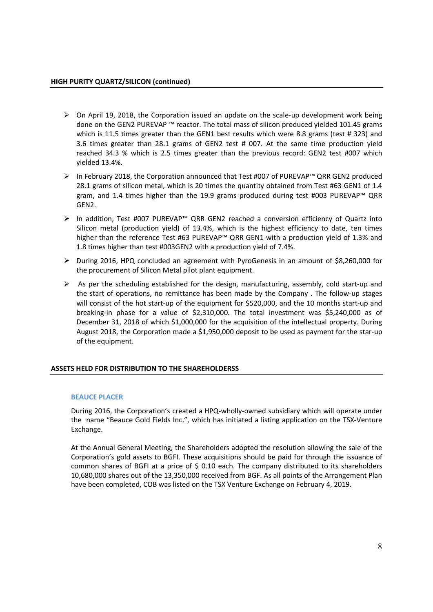- $\triangleright$  On April 19, 2018, the Corporation issued an update on the scale-up development work being done on the GEN2 PUREVAP ™ reactor. The total mass of silicon produced yielded 101.45 grams which is 11.5 times greater than the GEN1 best results which were 8.8 grams (test # 323) and 3.6 times greater than 28.1 grams of GEN2 test # 007. At the same time production yield reached 34.3 % which is 2.5 times greater than the previous record: GEN2 test #007 which yielded 13.4%.
- In February 2018, the Corporation announced that Test #007 of PUREVAP™ QRR GEN2 produced 28.1 grams of silicon metal, which is 20 times the quantity obtained from Test #63 GEN1 of 1.4 gram, and 1.4 times higher than the 19.9 grams produced during test #003 PUREVAP™ QRR GEN2.
- In addition, Test #007 PUREVAP™ QRR GEN2 reached a conversion efficiency of Quartz into Silicon metal (production yield) of 13.4%, which is the highest efficiency to date, ten times higher than the reference Test #63 PUREVAP™ QRR GEN1 with a production yield of 1.3% and 1.8 times higher than test #003GEN2 with a production yield of 7.4%.
- During 2016, HPQ concluded an agreement with PyroGenesis in an amount of \$8,260,000 for the procurement of Silicon Metal pilot plant equipment.
- $\triangleright$  As per the scheduling established for the design, manufacturing, assembly, cold start-up and the start of operations, no remittance has been made by the Company . The follow-up stages will consist of the hot start-up of the equipment for \$520,000, and the 10 months start-up and breaking-in phase for a value of \$2,310,000. The total investment was \$5,240,000 as of December 31, 2018 of which \$1,000,000 for the acquisition of the intellectual property. During August 2018, the Corporation made a \$1,950,000 deposit to be used as payment for the star-up of the equipment.

# ASSETS HELD FOR DISTRIBUTION TO THE SHAREHOLDERSS

## BEAUCE PLACER

During 2016, the Corporation's created a HPQ-wholly-owned subsidiary which will operate under the name "Beauce Gold Fields Inc.", which has initiated a listing application on the TSX-Venture Exchange.

At the Annual General Meeting, the Shareholders adopted the resolution allowing the sale of the Corporation's gold assets to BGFI. These acquisitions should be paid for through the issuance of common shares of BGFI at a price of  $$0.10$  each. The company distributed to its shareholders 10,680,000 shares out of the 13,350,000 received from BGF. As all points of the Arrangement Plan have been completed, COB was listed on the TSX Venture Exchange on February 4, 2019.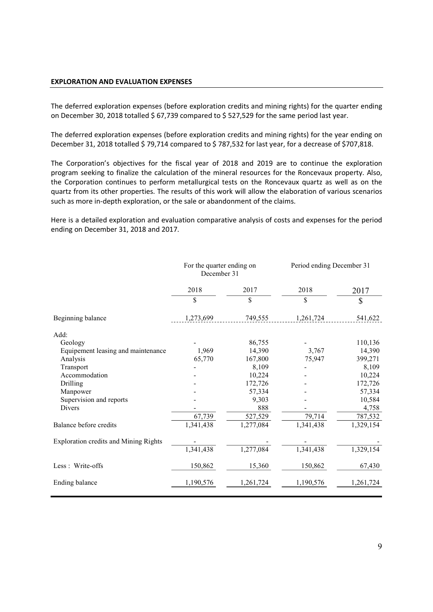#### EXPLORATION AND EVALUATION EXPENSES

The deferred exploration expenses (before exploration credits and mining rights) for the quarter ending on December 30, 2018 totalled \$ 67,739 compared to \$ 527,529 for the same period last year.

The deferred exploration expenses (before exploration credits and mining rights) for the year ending on December 31, 2018 totalled \$79,714 compared to \$787,532 for last year, for a decrease of \$707,818.

The Corporation's objectives for the fiscal year of 2018 and 2019 are to continue the exploration program seeking to finalize the calculation of the mineral resources for the Roncevaux property. Also, the Corporation continues to perform metallurgical tests on the Roncevaux quartz as well as on the quartz from its other properties. The results of this work will allow the elaboration of various scenarios such as more in-depth exploration, or the sale or abandonment of the claims.

Here is a detailed exploration and evaluation comparative analysis of costs and expenses for the period ending on December 31, 2018 and 2017.

|                                              | For the quarter ending on<br>December 31 |           | Period ending December 31 |           |
|----------------------------------------------|------------------------------------------|-----------|---------------------------|-----------|
|                                              | 2018                                     | 2017      | 2018                      | 2017      |
|                                              | \$                                       | \$        | \$                        | \$        |
| Beginning balance                            | 1,273,699                                | 749,555   | 1,261,724                 | 541,622   |
| Add:                                         |                                          |           |                           |           |
| Geology                                      |                                          | 86,755    |                           | 110,136   |
| Equipement leasing and maintenance           | 1,969                                    | 14,390    | 3,767                     | 14,390    |
| Analysis                                     | 65,770                                   | 167,800   | 75,947                    | 399,271   |
| Transport                                    |                                          | 8,109     |                           | 8,109     |
| Accommodation                                |                                          | 10,224    |                           | 10,224    |
| Drilling                                     |                                          | 172,726   |                           | 172,726   |
| Manpower                                     |                                          | 57,334    |                           | 57,334    |
| Supervision and reports                      |                                          | 9,303     |                           | 10,584    |
| Divers                                       |                                          | 888       |                           | 4,758     |
|                                              | 67,739                                   | 527,529   | 79,714                    | 787,532   |
| Balance before credits                       | 1,341,438                                | 1,277,084 | 1,341,438                 | 1,329,154 |
| <b>Exploration credits and Mining Rights</b> |                                          |           |                           |           |
|                                              | 1,341,438                                | 1,277,084 | 1,341,438                 | 1,329,154 |
| Less: Write-offs                             | 150,862                                  | 15,360    | 150,862                   | 67,430    |
| Ending balance                               | 1,190,576                                | 1,261,724 | 1,190,576                 | 1,261,724 |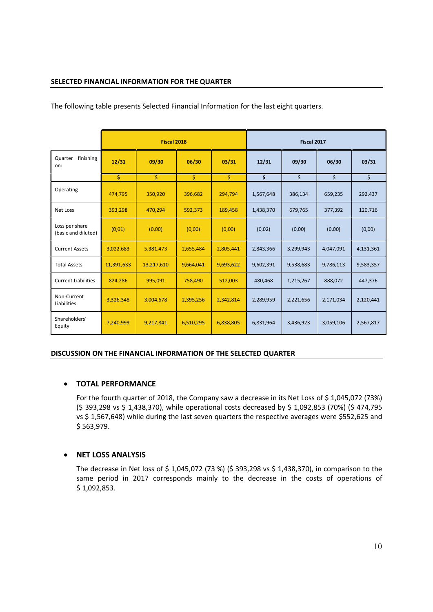## SELECTED FINANCIAL INFORMATION FOR THE QUARTER

The following table presents Selected Financial Information for the last eight quarters.

|                                       | Fiscal 2018 |            |           | Fiscal 2017 |           |           |           |           |
|---------------------------------------|-------------|------------|-----------|-------------|-----------|-----------|-----------|-----------|
| finishing<br>Quarter<br>on:           | 12/31       | 09/30      | 06/30     | 03/31       | 12/31     | 09/30     | 06/30     | 03/31     |
|                                       | \$          | \$         | \$        | \$          | \$        | \$        | \$        | \$        |
| Operating                             | 474,795     | 350,920    | 396,682   | 294,794     | 1,567,648 | 386,134   | 659,235   | 292,437   |
| Net Loss                              | 393,298     | 470,294    | 592,373   | 189,458     | 1,438,370 | 679,765   | 377,392   | 120,716   |
| Loss per share<br>(basic and diluted) | (0,01)      | (0,00)     | (0,00)    | (0,00)      | (0,02)    | (0,00)    | (0,00)    | (0,00)    |
| <b>Current Assets</b>                 | 3,022,683   | 5,381,473  | 2,655,484 | 2,805,441   | 2,843,366 | 3,299,943 | 4,047,091 | 4,131,361 |
| <b>Total Assets</b>                   | 11,391,633  | 13,217,610 | 9,664,041 | 9,693,622   | 9,602,391 | 9,538,683 | 9,786,113 | 9,583,357 |
| <b>Current Liabilities</b>            | 824,286     | 995,091    | 758,490   | 512,003     | 480,468   | 1,215,267 | 888,072   | 447,376   |
| Non-Current<br>Liabilities            | 3,326,348   | 3,004,678  | 2,395,256 | 2,342,814   | 2,289,959 | 2,221,656 | 2,171,034 | 2,120,441 |
| Shareholders'<br>Equity               | 7,240,999   | 9,217,841  | 6,510,295 | 6,838,805   | 6,831,964 | 3,436,923 | 3,059,106 | 2,567,817 |

## DISCUSSION ON THE FINANCIAL INFORMATION OF THE SELECTED QUARTER

# **• TOTAL PERFORMANCE**

For the fourth quarter of 2018, the Company saw a decrease in its Net Loss of \$ 1,045,072 (73%) (\$ 393,298 vs \$ 1,438,370), while operational costs decreased by \$ 1,092,853 (70%) (\$ 474,795 vs \$ 1,567,648) while during the last seven quarters the respective averages were \$552,625 and \$ 563,979.

# • NET LOSS ANALYSIS

The decrease in Net loss of \$ 1,045,072 (73 %) (\$ 393,298 vs \$ 1,438,370), in comparison to the same period in 2017 corresponds mainly to the decrease in the costs of operations of \$ 1,092,853.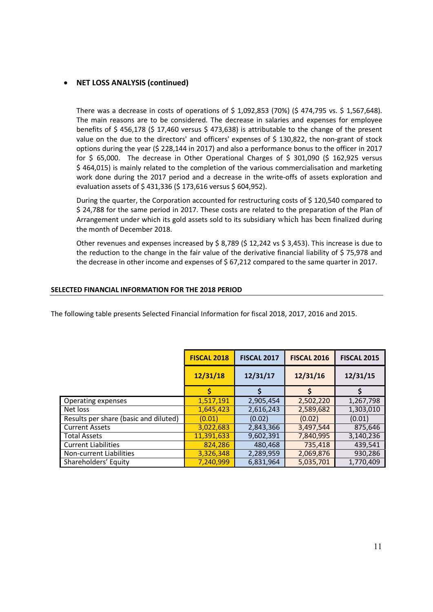# NET LOSS ANALYSIS (continued)

There was a decrease in costs of operations of \$ 1,092,853 (70%) (\$ 474,795 vs. \$ 1,567,648). The main reasons are to be considered. The decrease in salaries and expenses for employee benefits of \$456,178 (\$17,460 versus \$473,638) is attributable to the change of the present value on the due to the directors' and officers' expenses of \$ 130,822, the non-grant of stock options during the year (\$ 228,144 in 2017) and also a performance bonus to the officer in 2017 for  $\frac{2}{5}$  65,000. The decrease in Other Operational Charges of  $\frac{2}{5}$  301,090 ( $\frac{2}{5}$  162,925 versus \$ 464,015) is mainly related to the completion of the various commercialisation and marketing work done during the 2017 period and a decrease in the write-offs of assets exploration and evaluation assets of \$431,336 (\$173,616 versus \$604,952).

During the quarter, the Corporation accounted for restructuring costs of \$ 120,540 compared to \$ 24,788 for the same period in 2017. These costs are related to the preparation of the Plan of Arrangement under which its gold assets sold to its subsidiary which has been finalized during the month of December 2018.

Other revenues and expenses increased by \$ 8,789 (\$ 12,242 vs \$ 3,453). This increase is due to the reduction to the change in the fair value of the derivative financial liability of \$ 75,978 and the decrease in other income and expenses of \$67,212 compared to the same quarter in 2017.

# SELECTED FINANCIAL INFORMATION FOR THE 2018 PERIOD

The following table presents Selected Financial Information for fiscal 2018, 2017, 2016 and 2015.

|                                       | <b>FISCAL 2018</b> | <b>FISCAL 2017</b> | <b>FISCAL 2016</b> | <b>FISCAL 2015</b> |
|---------------------------------------|--------------------|--------------------|--------------------|--------------------|
|                                       | 12/31/18           | 12/31/17           | 12/31/16           | 12/31/15           |
|                                       |                    | Ś                  |                    |                    |
| Operating expenses                    | 1,517,191          | 2,905,454          | 2,502,220          | 1,267,798          |
| Net loss                              | 1,645,423          | 2,616,243          | 2,589,682          | 1,303,010          |
| Results per share (basic and diluted) | (0.01)             | (0.02)             | (0.02)             | (0.01)             |
| <b>Current Assets</b>                 | 3,022,683          | 2,843,366          | 3,497,544          | 875,646            |
| <b>Total Assets</b>                   | 11,391,633         | 9,602,391          | 7,840,995          | 3,140,236          |
| <b>Current Liabilities</b>            | 824,286            | 480,468            | 735,418            | 439,541            |
| Non-current Liabilities               | 3,326,348          | 2,289,959          | 2,069,876          | 930,286            |
| Shareholders' Equity                  | 7.240.999          | 6,831,964          | 5,035,701          | 1,770,409          |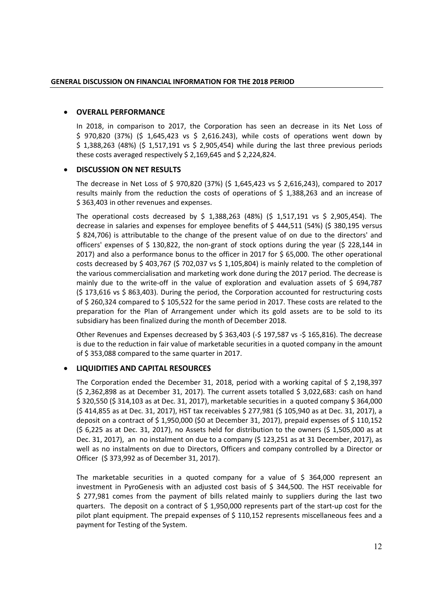# OVERALL PERFORMANCE

In 2018, in comparison to 2017, the Corporation has seen an decrease in its Net Loss of  $$ 970,820 (37%) ($ 1,645,423 vs $ 2,616.243), while costs of operations went down by$ \$ 1,388,263 (48%) (\$ 1,517,191 vs \$ 2,905,454) while during the last three previous periods these costs averaged respectively \$ 2,169,645 and \$ 2,224,824.

# DISCUSSION ON NET RESULTS

The decrease in Net Loss of \$ 970,820 (37%) (\$ 1,645,423 vs \$ 2,616,243), compared to 2017 results mainly from the reduction the costs of operations of \$ 1,388,263 and an increase of \$ 363,403 in other revenues and expenses.

The operational costs decreased by \$ 1,388,263 (48%) (\$ 1,517,191 vs \$ 2,905,454). The decrease in salaries and expenses for employee benefits of \$ 444,511 (54%) (\$ 380,195 versus \$ 824,706) is attributable to the change of the present value of on due to the directors' and officers' expenses of \$ 130,822, the non-grant of stock options during the year (\$ 228,144 in 2017) and also a performance bonus to the officer in 2017 for \$ 65,000. The other operational costs decreased by \$ 403,767 (\$ 702,037 vs \$ 1,105,804) is mainly related to the completion of the various commercialisation and marketing work done during the 2017 period. The decrease is mainly due to the write-off in the value of exploration and evaluation assets of \$ 694,787 (\$ 173,616 vs \$ 863,403). During the period, the Corporation accounted for restructuring costs of \$ 260,324 compared to \$ 105,522 for the same period in 2017. These costs are related to the preparation for the Plan of Arrangement under which its gold assets are to be sold to its subsidiary has been finalized during the month of December 2018.

Other Revenues and Expenses decreased by \$ 363,403 (-\$ 197,587 vs -\$ 165,816). The decrease is due to the reduction in fair value of marketable securities in a quoted company in the amount of \$ 353,088 compared to the same quarter in 2017.

# LIQUIDITIES AND CAPITAL RESOURCES

The Corporation ended the December 31, 2018, period with a working capital of \$ 2,198,397 (\$ 2,362,898 as at December 31, 2017). The current assets totalled \$ 3,022,683: cash on hand \$ 320,550 (\$ 314,103 as at Dec. 31, 2017), marketable securities in a quoted company \$ 364,000 (\$ 414,855 as at Dec. 31, 2017), HST tax receivables \$ 277,981 (\$ 105,940 as at Dec. 31, 2017), a deposit on a contract of \$ 1,950,000 (\$0 at December 31, 2017), prepaid expenses of \$ 110,152  $(5.6,225$  as at Dec. 31, 2017), no Assets held for distribution to the owners  $(5.1,505,000$  as at Dec. 31, 2017), an no instalment on due to a company (\$ 123,251 as at 31 December, 2017), as well as no instalments on due to Directors, Officers and company controlled by a Director or Officer (\$ 373,992 as of December 31, 2017).

The marketable securities in a quoted company for a value of  $$364,000$  represent an investment in PyroGenesis with an adjusted cost basis of \$ 344,500. The HST receivable for \$ 277,981 comes from the payment of bills related mainly to suppliers during the last two quarters. The deposit on a contract of \$ 1,950,000 represents part of the start-up cost for the pilot plant equipment. The prepaid expenses of \$ 110,152 represents miscellaneous fees and a payment for Testing of the System.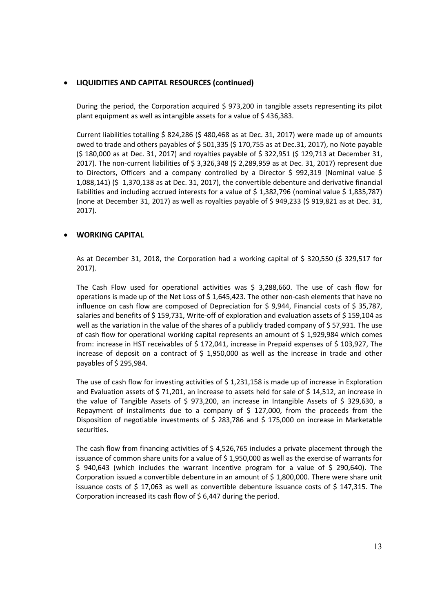# LIQUIDITIES AND CAPITAL RESOURCES (continued)

During the period, the Corporation acquired \$ 973,200 in tangible assets representing its pilot plant equipment as well as intangible assets for a value of \$436,383.

Current liabilities totalling \$ 824,286 (\$ 480,468 as at Dec. 31, 2017) were made up of amounts owed to trade and others payables of \$ 501,335 (\$ 170,755 as at Dec.31, 2017), no Note payable (\$ 180,000 as at Dec. 31, 2017) and royalties payable of \$ 322,951 (\$ 129,713 at December 31, 2017). The non-current liabilities of \$ 3,326,348 (\$ 2,289,959 as at Dec. 31, 2017) represent due to Directors, Officers and a company controlled by a Director \$ 992,319 (Nominal value \$ 1,088,141) (\$ 1,370,138 as at Dec. 31, 2017), the convertible debenture and derivative financial liabilities and including accrued interests for a value of \$ 1,382,796 (nominal value \$ 1,835,787) (none at December 31, 2017) as well as royalties payable of  $\frac{2}{3}$  949,233 ( $\frac{2}{3}$  919,821 as at Dec. 31, 2017).

# WORKING CAPITAL

As at December 31, 2018, the Corporation had a working capital of \$ 320,550 (\$ 329,517 for 2017).

The Cash Flow used for operational activities was \$ 3,288,660. The use of cash flow for operations is made up of the Net Loss of \$1,645,423. The other non-cash elements that have no influence on cash flow are composed of Depreciation for \$ 9,944, Financial costs of \$ 35,787, salaries and benefits of \$159,731, Write-off of exploration and evaluation assets of \$159,104 as well as the variation in the value of the shares of a publicly traded company of \$57,931. The use of cash flow for operational working capital represents an amount of \$ 1,929,984 which comes from: increase in HST receivables of \$ 172,041, increase in Prepaid expenses of \$ 103,927, The increase of deposit on a contract of  $\frac{2}{3}$  1,950,000 as well as the increase in trade and other payables of \$ 295,984.

The use of cash flow for investing activities of  $$ 1,231,158$  is made up of increase in Exploration and Evaluation assets of \$71,201, an increase to assets held for sale of \$14,512, an increase in the value of Tangible Assets of \$ 973,200, an increase in Intangible Assets of \$ 329,630, a Repayment of installments due to a company of  $\frac{1}{2}$  127,000, from the proceeds from the Disposition of negotiable investments of \$ 283,786 and \$ 175,000 on increase in Marketable securities.

The cash flow from financing activities of \$4,526,765 includes a private placement through the issuance of common share units for a value of \$1,950,000 as well as the exercise of warrants for  $$ 940,643$  (which includes the warrant incentive program for a value of  $$ 290,640$ ). The Corporation issued a convertible debenture in an amount of \$ 1,800,000. There were share unit issuance costs of \$ 17,063 as well as convertible debenture issuance costs of \$ 147,315. The Corporation increased its cash flow of \$ 6,447 during the period.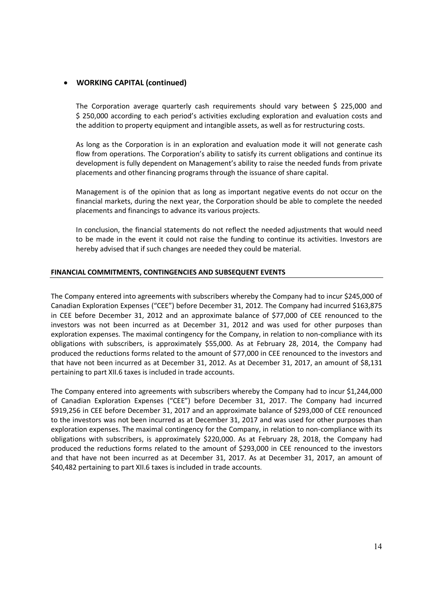# WORKING CAPITAL (continued)

The Corporation average quarterly cash requirements should vary between \$ 225,000 and \$ 250,000 according to each period's activities excluding exploration and evaluation costs and the addition to property equipment and intangible assets, as well as for restructuring costs.

As long as the Corporation is in an exploration and evaluation mode it will not generate cash flow from operations. The Corporation's ability to satisfy its current obligations and continue its development is fully dependent on Management's ability to raise the needed funds from private placements and other financing programs through the issuance of share capital.

Management is of the opinion that as long as important negative events do not occur on the financial markets, during the next year, the Corporation should be able to complete the needed placements and financings to advance its various projects.

In conclusion, the financial statements do not reflect the needed adjustments that would need to be made in the event it could not raise the funding to continue its activities. Investors are hereby advised that if such changes are needed they could be material.

# FINANCIAL COMMITMENTS, CONTINGENCIES AND SUBSEQUENT EVENTS

The Company entered into agreements with subscribers whereby the Company had to incur \$245,000 of Canadian Exploration Expenses ("CEE") before December 31, 2012. The Company had incurred \$163,875 in CEE before December 31, 2012 and an approximate balance of \$77,000 of CEE renounced to the investors was not been incurred as at December 31, 2012 and was used for other purposes than exploration expenses. The maximal contingency for the Company, in relation to non-compliance with its obligations with subscribers, is approximately \$55,000. As at February 28, 2014, the Company had produced the reductions forms related to the amount of \$77,000 in CEE renounced to the investors and that have not been incurred as at December 31, 2012. As at December 31, 2017, an amount of \$8,131 pertaining to part XII.6 taxes is included in trade accounts.

The Company entered into agreements with subscribers whereby the Company had to incur \$1,244,000 of Canadian Exploration Expenses ("CEE") before December 31, 2017. The Company had incurred \$919,256 in CEE before December 31, 2017 and an approximate balance of \$293,000 of CEE renounced to the investors was not been incurred as at December 31, 2017 and was used for other purposes than exploration expenses. The maximal contingency for the Company, in relation to non-compliance with its obligations with subscribers, is approximately \$220,000. As at February 28, 2018, the Company had produced the reductions forms related to the amount of \$293,000 in CEE renounced to the investors and that have not been incurred as at December 31, 2017. As at December 31, 2017, an amount of \$40,482 pertaining to part XII.6 taxes is included in trade accounts.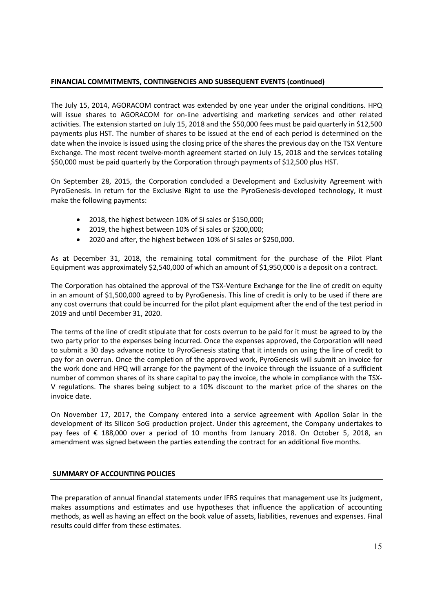# FINANCIAL COMMITMENTS, CONTINGENCIES AND SUBSEQUENT EVENTS (continued)

The July 15, 2014, AGORACOM contract was extended by one year under the original conditions. HPQ will issue shares to AGORACOM for on-line advertising and marketing services and other related activities. The extension started on July 15, 2018 and the \$50,000 fees must be paid quarterly in \$12,500 payments plus HST. The number of shares to be issued at the end of each period is determined on the date when the invoice is issued using the closing price of the shares the previous day on the TSX Venture Exchange. The most recent twelve-month agreement started on July 15, 2018 and the services totaling \$50,000 must be paid quarterly by the Corporation through payments of \$12,500 plus HST.

On September 28, 2015, the Corporation concluded a Development and Exclusivity Agreement with PyroGenesis. In return for the Exclusive Right to use the PyroGenesis-developed technology, it must make the following payments:

- 2018, the highest between 10% of Si sales or \$150,000;
- 2019, the highest between 10% of Si sales or \$200,000;
- 2020 and after, the highest between 10% of Si sales or \$250,000.

As at December 31, 2018, the remaining total commitment for the purchase of the Pilot Plant Equipment was approximately \$2,540,000 of which an amount of \$1,950,000 is a deposit on a contract.

The Corporation has obtained the approval of the TSX-Venture Exchange for the line of credit on equity in an amount of \$1,500,000 agreed to by PyroGenesis. This line of credit is only to be used if there are any cost overruns that could be incurred for the pilot plant equipment after the end of the test period in 2019 and until December 31, 2020.

The terms of the line of credit stipulate that for costs overrun to be paid for it must be agreed to by the two party prior to the expenses being incurred. Once the expenses approved, the Corporation will need to submit a 30 days advance notice to PyroGenesis stating that it intends on using the line of credit to pay for an overrun. Once the completion of the approved work, PyroGenesis will submit an invoice for the work done and HPQ will arrange for the payment of the invoice through the issuance of a sufficient number of common shares of its share capital to pay the invoice, the whole in compliance with the TSX-V regulations. The shares being subject to a 10% discount to the market price of the shares on the invoice date.

On November 17, 2017, the Company entered into a service agreement with Apollon Solar in the development of its Silicon SoG production project. Under this agreement, the Company undertakes to pay fees of € 188,000 over a period of 10 months from January 2018. On October 5, 2018, an amendment was signed between the parties extending the contract for an additional five months.

# SUMMARY OF ACCOUNTING POLICIES

The preparation of annual financial statements under IFRS requires that management use its judgment, makes assumptions and estimates and use hypotheses that influence the application of accounting methods, as well as having an effect on the book value of assets, liabilities, revenues and expenses. Final results could differ from these estimates.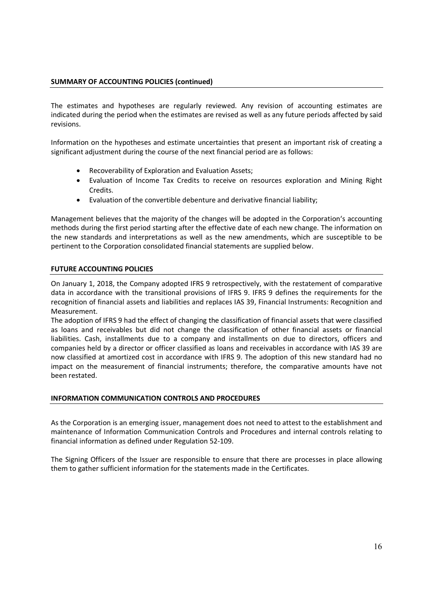## SUMMARY OF ACCOUNTING POLICIES (continued)

The estimates and hypotheses are regularly reviewed. Any revision of accounting estimates are indicated during the period when the estimates are revised as well as any future periods affected by said revisions.

Information on the hypotheses and estimate uncertainties that present an important risk of creating a significant adjustment during the course of the next financial period are as follows:

- Recoverability of Exploration and Evaluation Assets;
- Evaluation of Income Tax Credits to receive on resources exploration and Mining Right Credits.
- Evaluation of the convertible debenture and derivative financial liability;

Management believes that the majority of the changes will be adopted in the Corporation's accounting methods during the first period starting after the effective date of each new change. The information on the new standards and interpretations as well as the new amendments, which are susceptible to be pertinent to the Corporation consolidated financial statements are supplied below.

# FUTURE ACCOUNTING POLICIES

On January 1, 2018, the Company adopted IFRS 9 retrospectively, with the restatement of comparative data in accordance with the transitional provisions of IFRS 9. IFRS 9 defines the requirements for the recognition of financial assets and liabilities and replaces IAS 39, Financial Instruments: Recognition and Measurement.

The adoption of IFRS 9 had the effect of changing the classification of financial assets that were classified as loans and receivables but did not change the classification of other financial assets or financial liabilities. Cash, installments due to a company and installments on due to directors, officers and companies held by a director or officer classified as loans and receivables in accordance with IAS 39 are now classified at amortized cost in accordance with IFRS 9. The adoption of this new standard had no impact on the measurement of financial instruments; therefore, the comparative amounts have not been restated.

# INFORMATION COMMUNICATION CONTROLS AND PROCEDURES

As the Corporation is an emerging issuer, management does not need to attest to the establishment and maintenance of Information Communication Controls and Procedures and internal controls relating to financial information as defined under Regulation 52-109.

The Signing Officers of the Issuer are responsible to ensure that there are processes in place allowing them to gather sufficient information for the statements made in the Certificates.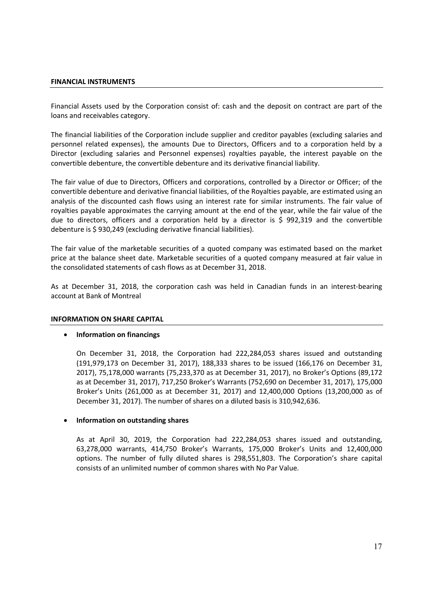#### FINANCIAL INSTRUMENTS

Financial Assets used by the Corporation consist of: cash and the deposit on contract are part of the loans and receivables category.

The financial liabilities of the Corporation include supplier and creditor payables (excluding salaries and personnel related expenses), the amounts Due to Directors, Officers and to a corporation held by a Director (excluding salaries and Personnel expenses) royalties payable, the interest payable on the convertible debenture, the convertible debenture and its derivative financial liability.

The fair value of due to Directors, Officers and corporations, controlled by a Director or Officer; of the convertible debenture and derivative financial liabilities, of the Royalties payable, are estimated using an analysis of the discounted cash flows using an interest rate for similar instruments. The fair value of royalties payable approximates the carrying amount at the end of the year, while the fair value of the due to directors, officers and a corporation held by a director is \$ 992,319 and the convertible debenture is \$ 930,249 (excluding derivative financial liabilities).

The fair value of the marketable securities of a quoted company was estimated based on the market price at the balance sheet date. Marketable securities of a quoted company measured at fair value in the consolidated statements of cash flows as at December 31, 2018.

As at December 31, 2018, the corporation cash was held in Canadian funds in an interest-bearing account at Bank of Montreal

## INFORMATION ON SHARE CAPITAL

## • Information on financings

On December 31, 2018, the Corporation had 222,284,053 shares issued and outstanding (191,979,173 on December 31, 2017), 188,333 shares to be issued (166,176 on December 31, 2017), 75,178,000 warrants (75,233,370 as at December 31, 2017), no Broker's Options (89,172 as at December 31, 2017), 717,250 Broker's Warrants (752,690 on December 31, 2017), 175,000 Broker's Units (261,000 as at December 31, 2017) and 12,400,000 Options (13,200,000 as of December 31, 2017). The number of shares on a diluted basis is 310,942,636.

## Information on outstanding shares

As at April 30, 2019, the Corporation had 222,284,053 shares issued and outstanding, 63,278,000 warrants, 414,750 Broker's Warrants, 175,000 Broker's Units and 12,400,000 options. The number of fully diluted shares is 298,551,803. The Corporation's share capital consists of an unlimited number of common shares with No Par Value.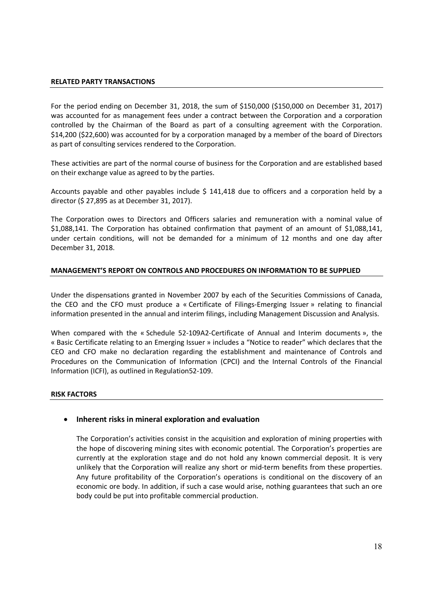### RELATED PARTY TRANSACTIONS

For the period ending on December 31, 2018, the sum of \$150,000 (\$150,000 on December 31, 2017) was accounted for as management fees under a contract between the Corporation and a corporation controlled by the Chairman of the Board as part of a consulting agreement with the Corporation. \$14,200 (\$22,600) was accounted for by a corporation managed by a member of the board of Directors as part of consulting services rendered to the Corporation.

These activities are part of the normal course of business for the Corporation and are established based on their exchange value as agreed to by the parties.

Accounts payable and other payables include \$ 141,418 due to officers and a corporation held by a director (\$ 27,895 as at December 31, 2017).

The Corporation owes to Directors and Officers salaries and remuneration with a nominal value of \$1,088,141. The Corporation has obtained confirmation that payment of an amount of \$1,088,141, under certain conditions, will not be demanded for a minimum of 12 months and one day after December 31, 2018.

## MANAGEMENT'S REPORT ON CONTROLS AND PROCEDURES ON INFORMATION TO BE SUPPLIED

Under the dispensations granted in November 2007 by each of the Securities Commissions of Canada, the CEO and the CFO must produce a « Certificate of Filings-Emerging Issuer » relating to financial information presented in the annual and interim filings, including Management Discussion and Analysis.

When compared with the « Schedule 52-109A2-Certificate of Annual and Interim documents », the « Basic Certificate relating to an Emerging Issuer » includes a "Notice to reader" which declares that the CEO and CFO make no declaration regarding the establishment and maintenance of Controls and Procedures on the Communication of Information (CPCI) and the Internal Controls of the Financial Information (ICFI), as outlined in Regulation52-109.

## RISK FACTORS

# • Inherent risks in mineral exploration and evaluation

The Corporation's activities consist in the acquisition and exploration of mining properties with the hope of discovering mining sites with economic potential. The Corporation's properties are currently at the exploration stage and do not hold any known commercial deposit. It is very unlikely that the Corporation will realize any short or mid-term benefits from these properties. Any future profitability of the Corporation's operations is conditional on the discovery of an economic ore body. In addition, if such a case would arise, nothing guarantees that such an ore body could be put into profitable commercial production.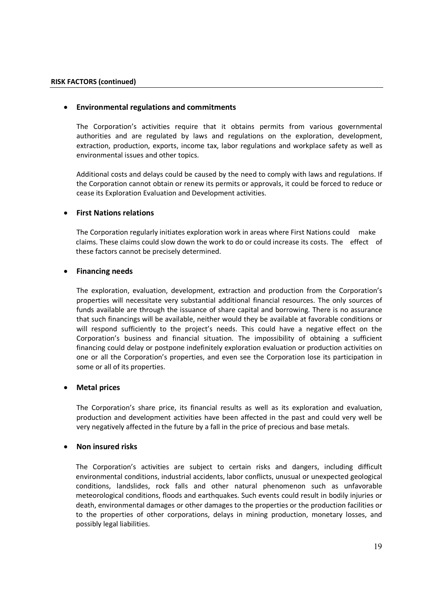## Environmental regulations and commitments

The Corporation's activities require that it obtains permits from various governmental authorities and are regulated by laws and regulations on the exploration, development, extraction, production, exports, income tax, labor regulations and workplace safety as well as environmental issues and other topics.

Additional costs and delays could be caused by the need to comply with laws and regulations. If the Corporation cannot obtain or renew its permits or approvals, it could be forced to reduce or cease its Exploration Evaluation and Development activities.

## First Nations relations

 The Corporation regularly initiates exploration work in areas where First Nations could make claims. These claims could slow down the work to do or could increase its costs. The effect of these factors cannot be precisely determined.

## • Financing needs

The exploration, evaluation, development, extraction and production from the Corporation's properties will necessitate very substantial additional financial resources. The only sources of funds available are through the issuance of share capital and borrowing. There is no assurance that such financings will be available, neither would they be available at favorable conditions or will respond sufficiently to the project's needs. This could have a negative effect on the Corporation's business and financial situation. The impossibility of obtaining a sufficient financing could delay or postpone indefinitely exploration evaluation or production activities on one or all the Corporation's properties, and even see the Corporation lose its participation in some or all of its properties.

# Metal prices

The Corporation's share price, its financial results as well as its exploration and evaluation, production and development activities have been affected in the past and could very well be very negatively affected in the future by a fall in the price of precious and base metals.

## Non insured risks

The Corporation's activities are subject to certain risks and dangers, including difficult environmental conditions, industrial accidents, labor conflicts, unusual or unexpected geological conditions, landslides, rock falls and other natural phenomenon such as unfavorable meteorological conditions, floods and earthquakes. Such events could result in bodily injuries or death, environmental damages or other damages to the properties or the production facilities or to the properties of other corporations, delays in mining production, monetary losses, and possibly legal liabilities.